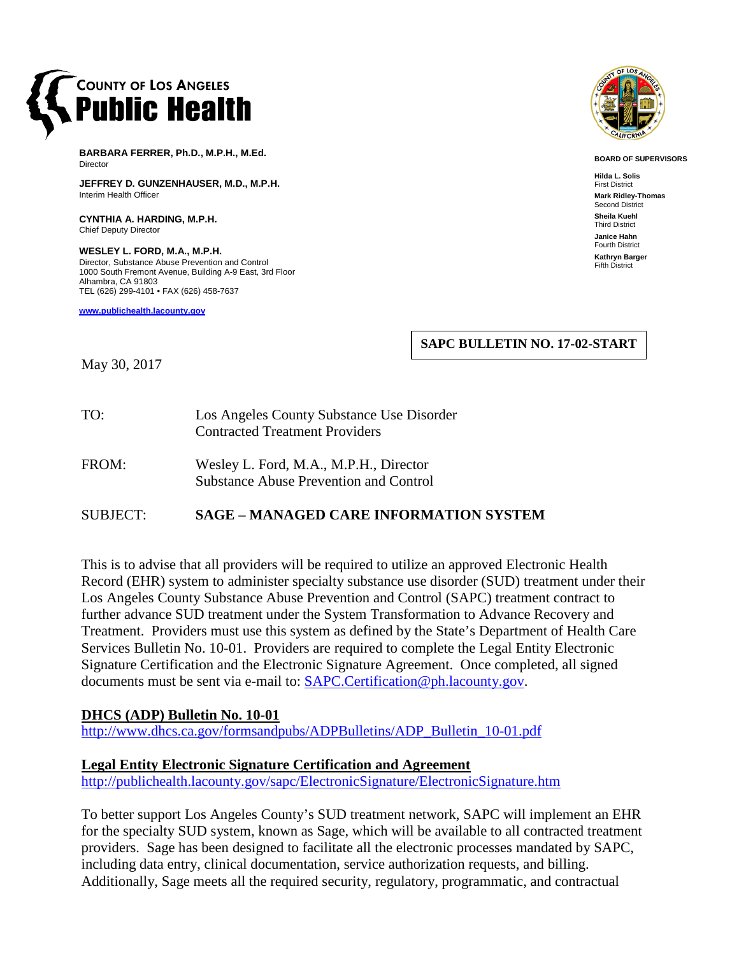

**BARBARA FERRER, Ph.D., M.P.H., M.Ed.** Director

**JEFFREY D. GUNZENHAUSER, M.D., M.P.H.** Interim Health Officer

**CYNTHIA A. HARDING, M.P.H.** Chief Deputy Director

**WESLEY L. FORD, M.A., M.P.H.** Director, Substance Abuse Prevention and Control 1000 South Fremont Avenue, Building A-9 East, 3rd Floor Alhambra, CA 91803 TEL (626) 299-4101 • FAX (626) 458-7637

**[www.publichealth.lacounty.gov](http://www.publichealth.lacounty.gov/)**



**BOARD OF SUPERVISORS**

**Hilda L. Solis** First District **Mark Ridley-Thomas** Second District **Sheila Kuehl** Third District **Janice Hahn** Fourth District **Kathryn Barger** Fifth District

**SAPC BULLETIN NO. 17-02-START**

May 30, 2017

- TO: Los Angeles County Substance Use Disorder Contracted Treatment Providers
- FROM: Wesley L. Ford, M.A., M.P.H., Director Substance Abuse Prevention and Control

## SUBJECT: **SAGE – MANAGED CARE INFORMATION SYSTEM**

This is to advise that all providers will be required to utilize an approved Electronic Health Record (EHR) system to administer specialty substance use disorder (SUD) treatment under their Los Angeles County Substance Abuse Prevention and Control (SAPC) treatment contract to further advance SUD treatment under the System Transformation to Advance Recovery and Treatment. Providers must use this system as defined by the State's Department of Health Care Services Bulletin No. 10-01. Providers are required to complete the Legal Entity Electronic Signature Certification and the Electronic Signature Agreement. Once completed, all signed documents must be sent via e-mail to: [SAPC.Certification@ph.lacounty.gov.](mailto:SAPC.Certification@ph.lacounty.gov)

## **DHCS (ADP) Bulletin No. 10-01**

[http://www.dhcs.ca.gov/formsandpubs/ADPBulletins/ADP\\_Bulletin\\_10-01.pdf](http://www.dhcs.ca.gov/formsandpubs/ADPBulletins/ADP_Bulletin_10-01.pdf)

## **Legal Entity Electronic Signature Certification and Agreement**

<http://publichealth.lacounty.gov/sapc/ElectronicSignature/ElectronicSignature.htm>

To better support Los Angeles County's SUD treatment network, SAPC will implement an EHR for the specialty SUD system, known as Sage, which will be available to all contracted treatment providers. Sage has been designed to facilitate all the electronic processes mandated by SAPC, including data entry, clinical documentation, service authorization requests, and billing. Additionally, Sage meets all the required security, regulatory, programmatic, and contractual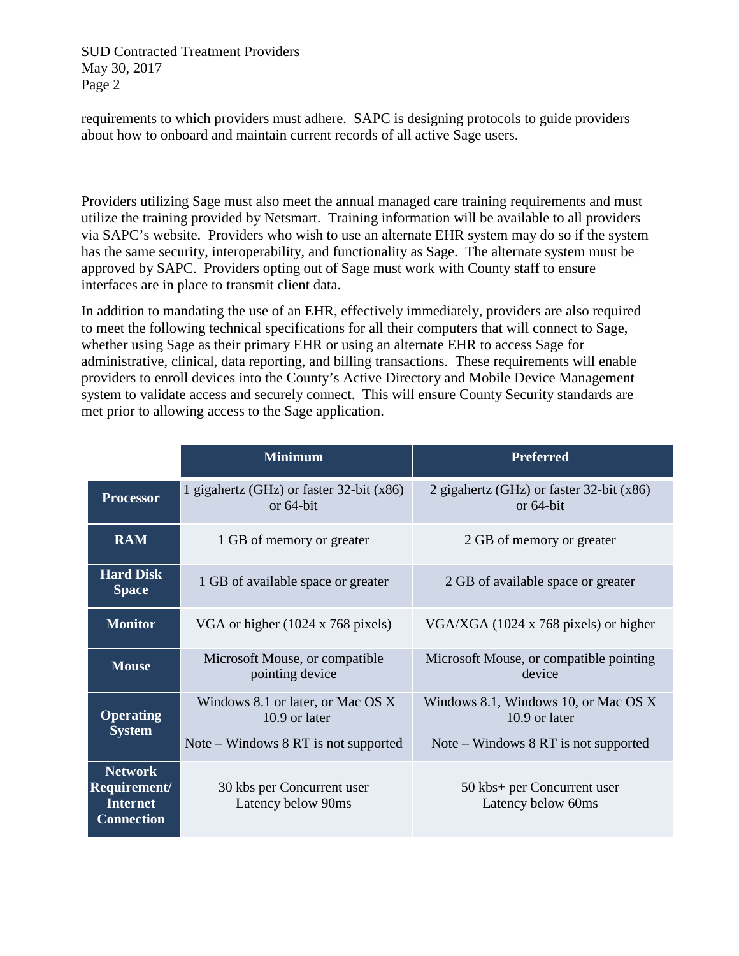SUD Contracted Treatment Providers May 30, 2017 Page 2

requirements to which providers must adhere. SAPC is designing protocols to guide providers about how to onboard and maintain current records of all active Sage users.

Providers utilizing Sage must also meet the annual managed care training requirements and must utilize the training provided by Netsmart. Training information will be available to all providers via SAPC's website. Providers who wish to use an alternate EHR system may do so if the system has the same security, interoperability, and functionality as Sage. The alternate system must be approved by SAPC. Providers opting out of Sage must work with County staff to ensure interfaces are in place to transmit client data.

In addition to mandating the use of an EHR, effectively immediately, providers are also required to meet the following technical specifications for all their computers that will connect to Sage, whether using Sage as their primary EHR or using an alternate EHR to access Sage for administrative, clinical, data reporting, and billing transactions. These requirements will enable providers to enroll devices into the County's Active Directory and Mobile Device Management system to validate access and securely connect. This will ensure County Security standards are met prior to allowing access to the Sage application.

|                                                                        | <b>Minimum</b>                                           | <b>Preferred</b>                                            |
|------------------------------------------------------------------------|----------------------------------------------------------|-------------------------------------------------------------|
| <b>Processor</b>                                                       | 1 gigahertz (GHz) or faster 32-bit (x86)<br>or $64$ -bit | 2 gigahertz (GHz) or faster $32$ -bit (x86)<br>or $64$ -bit |
| <b>RAM</b>                                                             | 1 GB of memory or greater                                | 2 GB of memory or greater                                   |
| <b>Hard Disk</b><br><b>Space</b>                                       | 1 GB of available space or greater                       | 2 GB of available space or greater                          |
| <b>Monitor</b>                                                         | VGA or higher (1024 x 768 pixels)                        | VGA/XGA (1024 x 768 pixels) or higher                       |
| <b>Mouse</b>                                                           | Microsoft Mouse, or compatible<br>pointing device        | Microsoft Mouse, or compatible pointing<br>device           |
| <b>Operating</b><br><b>System</b>                                      | Windows 8.1 or later, or Mac OS X<br>10.9 or later       | Windows 8.1, Windows 10, or Mac OS X<br>10.9 or later       |
|                                                                        | Note – Windows $8 RT$ is not supported                   | Note – Windows 8 RT is not supported                        |
| <b>Network</b><br>Requirement/<br><b>Internet</b><br><b>Connection</b> | 30 kbs per Concurrent user<br>Latency below 90ms         | 50 kbs+ per Concurrent user<br>Latency below 60ms           |